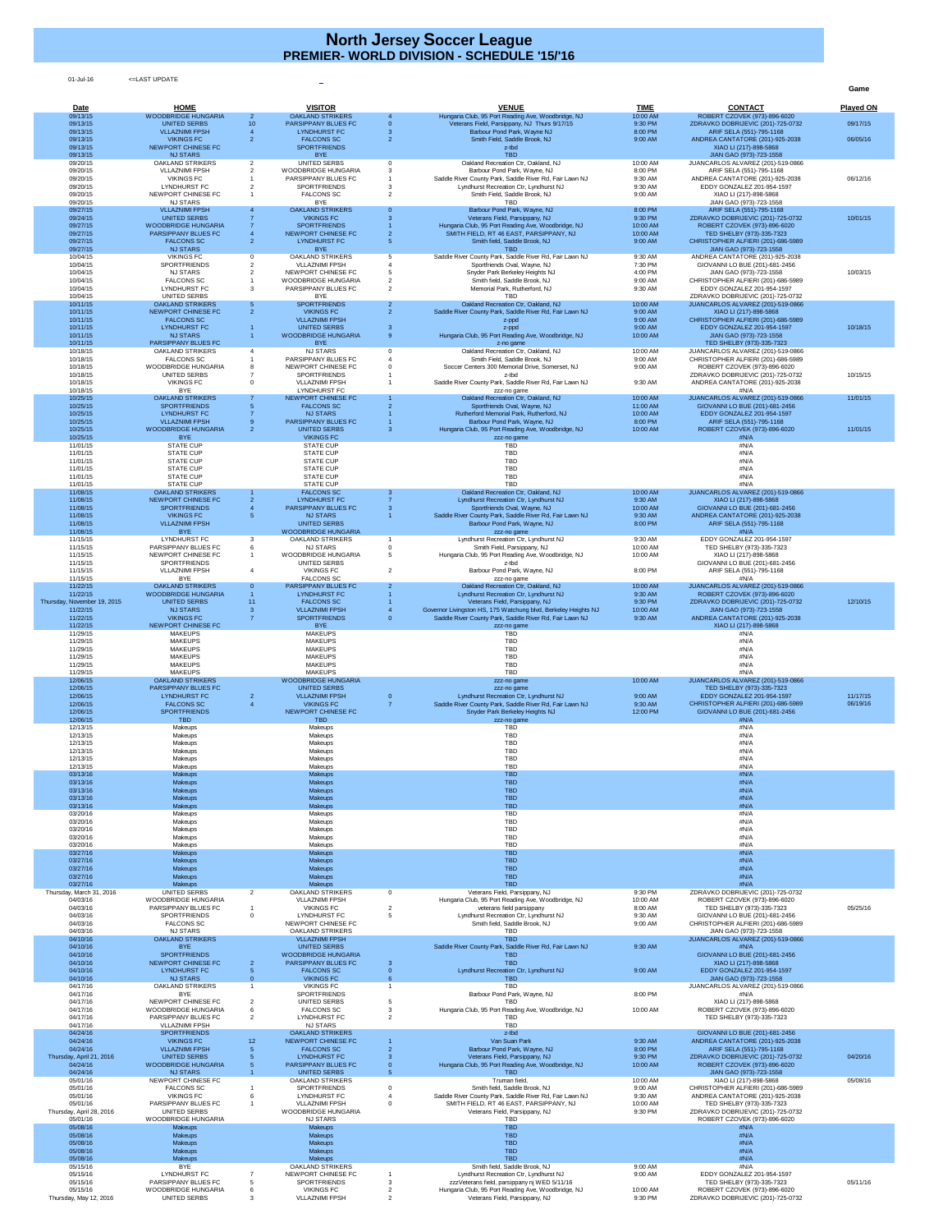01-Jul-16 <=LAST UPDATE

**Game**

| Date                                 | <b>HOME</b>                                           |                      | <b>VISITOR</b>                                           |                     | <b>VENUE</b>                                                                                                              | <b>TIME</b>          | <b>CONTACT</b>                                                          | <b>Played ON</b> |
|--------------------------------------|-------------------------------------------------------|----------------------|----------------------------------------------------------|---------------------|---------------------------------------------------------------------------------------------------------------------------|----------------------|-------------------------------------------------------------------------|------------------|
| 09/13/15<br>09/13/15                 | <b>WOODBRIDGE HUNGARIA</b><br>UNITED SERBS            | 2<br>10 <sup>°</sup> | <b>OAKLAND STRIKERS</b><br><b>PARSIPPANY BLUES FC</b>    |                     | Hungaria Club, 95 Port Reading Ave, Woodbridge, NJ<br>Veterans Field, Parsippany, NJ Thurs 9/17/15                        | 10:00 AM<br>9:30 PM  | ROBERT CZOVEK (973)-896-6020<br>ZDRAVKO DOBRIJEVIC (201)-725-0732       | 09/17/15         |
| 09/13/15<br>09/13/15                 | <b>VLLAZNIMI FPSH</b><br><b>VIKINGS FC</b>            |                      | <b>LYNDHURST FC</b><br><b>FALCONS SC</b>                 |                     | Barbour Pond Park, Wayne NJ<br>Smith Field, Saddle Brook, NJ                                                              | 8:00 PM<br>9:00 AM   | ARIF SELA (551)-795-1168<br>ANDREA CANTATORE (201)-925-2038             | 06/05/16         |
| 09/13/15                             | NEWPORT CHINESE FC                                    |                      | <b>SPORTFRIENDS</b>                                      |                     | z-tbd<br><b>TBD</b>                                                                                                       |                      | XIAO LI (217)-898-5868                                                  |                  |
| 09/13/15<br>09/20/15                 | <b>NJ STARS</b><br><b>OAKLAND STRIKERS</b>            | 2                    | <b>BYE</b><br><b>UNITED SERBS</b>                        |                     | Oakland Recreation Ctr, Oakland, NJ                                                                                       | 10:00 AM             | JIAN GAO (973)-723-1558<br>JUANCARLOS ALVAREZ (201)-519-0866            |                  |
| 09/20/15<br>09/20/15                 | <b>VLLAZNIMI FPSH</b><br><b>VIKINGS FC</b>            | 2                    | <b>WOODBRIDGE HUNGARIA</b><br><b>PARSIPPANY BLUES FC</b> |                     | Barbour Pond Park, Wayne, NJ<br>Saddle River County Park, Saddle River Rd, Fair Lawn NJ                                   | 8:00 PM<br>9:30 AM   | ARIF SELA (551)-795-1168<br>ANDREA CANTATORE (201)-925-2038             | 06/12/16         |
| 09/20/15                             | <b>LYNDHURST FC</b>                                   |                      | <b>SPORTFRIENDS</b>                                      |                     | Lyndhurst Recreation Ctr, Lyndhurst NJ                                                                                    | 9:30 AM              | EDDY GONZALEZ 201-954-1597                                              |                  |
| 09/20/15<br>09/20/15                 | NEWPORT CHINESE FC<br><b>NJ STARS</b>                 |                      | <b>FALCONS SC</b><br>BYE                                 |                     | Smith Field, Saddle Brook, NJ<br><b>TBD</b>                                                                               | 9:00 AM              | XIAO LI (217)-898-5868<br>JIAN GAO (973)-723-1558                       |                  |
| 09/27/15<br>09/24/15                 | <b>VLLAZNIMI FPSH</b><br><b>UNITED SERBS</b>          |                      | <b>OAKLAND STRIKERS</b><br><b>VIKINGS FC</b>             |                     | Barbour Pond Park, Wayne, NJ<br>Veterans Field, Parsippany, NJ                                                            | 8:00 PM<br>9:30 PM   | ARIF SELA (551)-795-1168<br>ZDRAVKO DOBRIJEVIC (201)-725-0732           | 10/01/15         |
| 09/27/15                             | <b>WOODBRIDGE HUNGARIA</b>                            |                      | <b>SPORTFRIENDS</b>                                      |                     | Hungaria Club, 95 Port Reading Ave, Woodbridge, NJ                                                                        | 10:00 AM             | ROBERT CZOVEK (973)-896-6020                                            |                  |
| 09/27/15<br>09/27/15                 | <b>PARSIPPANY BLUES FC</b><br><b>FALCONS SC</b>       |                      | NEWPORT CHINESE FC<br><b>LYNDHURST FC</b>                |                     | SMITH FIELD, RT 46 EAST, PARSIPPANY, NJ<br>Smith field, Saddle Brook, NJ                                                  | 10:00 AM<br>9:00 AM  | TED SHELBY (973)-335-7323<br>CHRISTOPHER ALFIERI (201)-686-5989         |                  |
| 09/27/15<br>10/04/15                 | <b>NJ STARS</b><br><b>VIKINGS FC</b>                  |                      | <b>BYE</b><br><b>OAKLAND STRIKERS</b>                    |                     | <b>TBD</b><br>Saddle River County Park, Saddle River Rd, Fair Lawn NJ                                                     | 9:30 AM              | JIAN GAO (973)-723-1558<br>ANDREA CANTATORE (201)-925-2038              |                  |
| 10/04/15                             | <b>SPORTFRIENDS</b>                                   |                      | <b>VLLAZNIMI FPSH</b>                                    |                     | Sportfriends Oval, Wayne, NJ                                                                                              | 7:30 PM              | GIOVANNI LO BUE (201)-681-2456                                          |                  |
| 10/04/15<br>10/04/15                 | <b>NJ STARS</b><br><b>FALCONS SC</b>                  |                      | NEWPORT CHINESE FC<br><b>WOODBRIDGE HUNGARIA</b>         |                     | Snyder Park Berkeley Heights NJ<br>Smith field, Saddle Brook, NJ                                                          | 4:00 PM<br>9:00 AM   | JIAN GAO (973)-723-1558<br>CHRISTOPHER ALFIERI (201)-686-5989           | 10/03/15         |
| 10/04/15<br>10/04/15                 | <b>LYNDHURST FC</b><br>UNITED SERBS                   |                      | PARSIPPANY BLUES FC<br><b>BYE</b>                        |                     | Memorial Park, Rutherford, NJ<br><b>TBD</b>                                                                               | 9:30 AM              | EDDY GONZALEZ 201-954-1597<br>ZDRAVKO DOBRIJEVIC (201)-725-0732         |                  |
| 10/11/15                             | <b>OAKLAND STRIKERS</b>                               |                      | <b>SPORTFRIENDS</b>                                      |                     | Oakland Recreation Ctr, Oakland, NJ                                                                                       | 10:00 AM             | JUANCARLOS ALVAREZ (201)-519-0866                                       |                  |
| 10/11/15<br>10/11/15                 | NEWPORT CHINESE FC<br><b>FALCONS SC</b>               | 2                    | <b>VIKINGS FC</b><br><b>VLLAZNIMI FPSH</b>               | $\mathcal{P}$       | Saddle River County Park, Saddle River Rd, Fair Lawn NJ<br>z-ppd                                                          | 9:00 AM<br>9:00 AM   | XIAO LI (217)-898-5868<br>CHRISTOPHER ALFIERI (201)-686-5989            |                  |
| 10/11/15<br>10/11/15                 | <b>LYNDHURST FC</b><br><b>NJ STARS</b>                |                      | <b>UNITED SERBS</b><br><b>WOODBRIDGE HUNGARIA</b>        |                     | z-ppd<br>Hungaria Club, 95 Port Reading Ave, Woodbridge, NJ                                                               | 9:00 AM<br>10:00 AM  | EDDY GONZALEZ 201-954-1597<br>JIAN GAO (973)-723-1558                   | 10/18/15         |
| 10/11/15                             | <b>PARSIPPANY BLUES FC</b>                            |                      | <b>BYE</b>                                               |                     | z-no game                                                                                                                 |                      | TED SHELBY (973)-335-7323                                               |                  |
| 10/18/15<br>10/18/15                 | <b>OAKLAND STRIKERS</b><br><b>FALCONS SC</b>          |                      | <b>NJ STARS</b><br><b>PARSIPPANY BLUES FC</b>            |                     | Oakland Recreation Ctr, Oakland, NJ<br>Smith Field, Saddle Brook, NJ                                                      | 10:00 AM<br>9:00 AM  | JUANCARLOS ALVAREZ (201)-519-0866<br>CHRISTOPHER ALFIERI (201)-686-5989 |                  |
| 10/18/15<br>10/18/15                 | <b>WOODBRIDGE HUNGARIA</b><br>UNITED SERBS            |                      | NEWPORT CHINESE FC<br><b>SPORTFRIENDS</b>                |                     | Soccer Centers 300 Memorial Drive, Somerset, NJ<br>z-tbd                                                                  | 9:00 AM              | ROBERT CZOVEK (973)-896-6020<br>ZDRAVKO DOBRIJEVIC (201)-725-0732       | 10/15/15         |
| 10/18/15                             | <b>VIKINGS FC</b>                                     |                      | <b>VLLAZNIMI FPSH</b>                                    |                     | Saddle River County Park, Saddle River Rd, Fair Lawn NJ                                                                   | 9:30 AM              | ANDREA CANTATORE (201)-925-2038                                         |                  |
| 10/18/15<br>10/25/15                 | <b>BYE</b><br><b>OAKLAND STRIKERS</b>                 |                      | <b>LYNDHURST FC</b><br>NEWPORT CHINESE FC                |                     | zzz-no game<br>Oakland Recreation Ctr, Oakland, NJ                                                                        | 10:00 AM             | #N/A<br>JUANCARLOS ALVAREZ (201)-519-0866                               | 11/01/15         |
| 10/25/15<br>10/25/15                 | <b>SPORTFRIENDS</b><br><b>LYNDHURST FC</b>            |                      | <b>FALCONS SC</b><br><b>NJ STARS</b>                     |                     | Sportfriends Oval, Wayne, NJ<br>Rutherford Memorial Park, Rutherford, NJ                                                  | 11:00 AM<br>10:00 AM | GIOVANNI LO BUE (201)-681-2456<br>EDDY GONZALEZ 201-954-1597            |                  |
| 10/25/15                             | <b>VLLAZNIMI FPSH</b>                                 |                      | <b>PARSIPPANY BLUES FC</b>                               |                     | Barbour Pond Park, Wayne, NJ                                                                                              | 8:00 PM              | ARIF SELA (551)-795-1168                                                |                  |
| 10/25/15<br>10/25/15                 | <b>WOODBRIDGE HUNGARIA</b><br><b>BYE</b>              |                      | <b>UNITED SERBS</b><br><b>VIKINGS FC</b>                 |                     | Hungaria Club, 95 Port Reading Ave, Woodbridge, NJ<br>zzz-no game                                                         | 10:00 AM             | ROBERT CZOVEK (973)-896-6020<br>#N/A                                    | 11/01/15         |
| 11/01/15<br>11/01/15                 | <b>STATE CUP</b><br><b>STATE CUP</b>                  |                      | <b>STATE CUP</b><br><b>STATE CUP</b>                     |                     | <b>TBD</b><br><b>TBD</b>                                                                                                  |                      | #N/A<br>#N/A                                                            |                  |
| 11/01/15                             | <b>STATE CUP</b>                                      |                      | <b>STATE CUP</b>                                         |                     | <b>TBD</b>                                                                                                                |                      | #N/A                                                                    |                  |
| 11/01/15<br>11/01/15                 | <b>STATE CUP</b><br><b>STATE CUP</b>                  |                      | <b>STATE CUP</b><br><b>STATE CUP</b>                     |                     | <b>TBD</b><br><b>TBD</b>                                                                                                  |                      | #N/A<br>#N/A                                                            |                  |
| 11/01/15<br>11/08/15                 | <b>STATE CUP</b><br><b>OAKLAND STRIKERS</b>           |                      | <b>STATE CUP</b><br><b>FALCONS SC</b>                    | 3                   | <b>TBD</b><br>Oakland Recreation Ctr, Oakland, NJ                                                                         |                      | #N/A                                                                    |                  |
| 11/08/15                             | NEWPORT CHINESE FC                                    |                      | <b>LYNDHURST FC</b>                                      |                     | Lyndhurst Recreation Ctr, Lyndhurst NJ                                                                                    | 10:00 AM<br>9:30 AM  | JUANCARLOS ALVAREZ (201)-519-0866<br>XIAO LI (217)-898-5868             |                  |
| 11/08/15<br>11/08/15                 | <b>SPORTFRIENDS</b><br><b>VIKINGS FC</b>              |                      | <b>PARSIPPANY BLUES FC</b><br><b>NJ STARS</b>            |                     | Sportfriends Oval, Wayne, NJ<br>Saddle River County Park, Saddle River Rd, Fair Lawn NJ                                   | 10:00 AM<br>9:30 AM  | GIOVANNI LO BUE (201)-681-2456<br>ANDREA CANTATORE (201)-925-2038       |                  |
| 11/08/15                             | <b>VLLAZNIMI FPSH</b>                                 |                      | <b>UNITED SERBS</b><br><b>WOODBRIDGE HUNGARIA</b>        |                     | Barbour Pond Park, Wayne, NJ                                                                                              | 8:00 PM              | ARIF SELA (551)-795-1168                                                |                  |
| 11/08/15<br>11/15/15                 | <b>BYE</b><br><b>LYNDHURST FC</b>                     | 3                    | <b>OAKLAND STRIKERS</b>                                  |                     | zzz-no game<br>Lyndhurst Recreation Ctr, Lyndhurst NJ                                                                     | 9:30 AM              | #N/A<br>EDDY GONZALEZ 201-954-1597                                      |                  |
| 11/15/15<br>11/15/15                 | PARSIPPANY BLUES FC<br>NEWPORT CHINESE FC             |                      | <b>NJ STARS</b><br><b>WOODBRIDGE HUNGARIA</b>            |                     | Smith Field, Parsippany, NJ<br>Hungaria Club, 95 Port Reading Ave, Woodbridge, NJ                                         | 10:00 AM<br>10:00 AM | TED SHELBY (973)-335-7323<br>XIAO LI (217)-898-5868                     |                  |
| 11/15/15                             | <b>SPORTFRIENDS</b>                                   |                      | UNITED SERBS                                             |                     | z-tbd                                                                                                                     |                      | GIOVANNI LO BUE (201)-681-2456                                          |                  |
| 11/15/15<br>11/15/15                 | <b>VLLAZNIMI FPSH</b><br><b>BYE</b>                   |                      | <b>VIKINGS FC</b><br><b>FALCONS SC</b>                   | $\overline{2}$      | Barbour Pond Park, Wayne, NJ<br>zzz-no game                                                                               | 8:00 PM              | ARIF SELA (551)-795-1168<br>#N/A                                        |                  |
| 11/22/15<br>11/22/15                 | <b>OAKLAND STRIKERS</b><br><b>WOODBRIDGE HUNGARIA</b> |                      | <b>PARSIPPANY BLUES FC</b><br><b>LYNDHURST FC</b>        |                     | Oakland Recreation Ctr, Oakland, NJ<br>Lyndhurst Recreation Ctr, Lyndhurst NJ                                             | 10:00 AM<br>9:30 AM  | JUANCARLOS ALVAREZ (201)-519-0866<br>ROBERT CZOVEK (973)-896-6020       |                  |
| Thursday, November 19, 2015          | <b>UNITED SERBS</b>                                   | 11                   | <b>FALCONS SC</b>                                        |                     | Veterans Field, Parsippany, NJ                                                                                            | 9:30 PM              | ZDRAVKO DOBRIJEVIC (201)-725-0732                                       | 12/10/15         |
| 11/22/15<br>11/22/15                 | <b>NJ STARS</b><br><b>VIKINGS FC</b>                  |                      | <b>VLLAZNIMI FPSH</b><br><b>SPORTFRIENDS</b>             |                     | Governor Livingston HS, 175 Watchung blvd, Berkeley Heights NJ<br>Saddle River County Park, Saddle River Rd, Fair Lawn NJ | 10:00 AM<br>9:30 AM  | JIAN GAO (973)-723-1558<br>ANDREA CANTATORE (201)-925-2038              |                  |
| 11/22/15<br>11/29/15                 | NEWPORT CHINESE FC<br><b>MAKEUPS</b>                  |                      | <b>BYE</b><br><b>MAKEUPS</b>                             |                     | zzz-no game<br><b>TBD</b>                                                                                                 |                      | XIAO LI (217)-898-5868<br>#N/A                                          |                  |
| 11/29/15                             | <b>MAKEUPS</b>                                        |                      | <b>MAKEUPS</b>                                           |                     | <b>TBD</b>                                                                                                                |                      | #N/A                                                                    |                  |
| 11/29/15<br>11/29/15                 | <b>MAKEUPS</b><br><b>MAKEUPS</b>                      |                      | <b>MAKEUPS</b><br><b>MAKEUPS</b>                         |                     | <b>TBD</b><br><b>TBD</b>                                                                                                  |                      | #N/A<br>#N/A                                                            |                  |
| 11/29/15<br>11/29/15                 | <b>MAKEUPS</b><br><b>MAKEUPS</b>                      |                      | <b>MAKEUPS</b><br><b>MAKEUPS</b>                         |                     | <b>TBD</b><br><b>TBD</b>                                                                                                  |                      | #N/A<br>#N/A                                                            |                  |
| 12/06/15                             | <b>OAKLAND STRIKERS</b>                               |                      | <b>WOODBRIDGE HUNGARIA</b>                               |                     | zzz-no game                                                                                                               | 10:00 AM             | JUANCARLOS ALVAREZ (201)-519-0866                                       |                  |
| 12/06/15<br>12/06/15                 | <b>PARSIPPANY BLUES FC</b><br><b>LYNDHURST FC</b>     | $\overline{2}$       | <b>UNITED SERBS</b><br><b>VLLAZNIMI FPSH</b>             |                     | zzz-no game<br>Lyndhurst Recreation Ctr, Lyndhurst NJ                                                                     | 9:00 AM              | TED SHELBY (973)-335-7323<br>EDDY GONZALEZ 201-954-1597                 | 11/17/15         |
| 12/06/15<br>12/06/15                 | <b>FALCONS SC</b><br><b>SPORTFRIENDS</b>              |                      | <b>VIKINGS FC</b><br>NEWPORT CHINESE FC                  | $\overline{7}$      | Saddle River County Park, Saddle River Rd, Fair Lawn NJ<br><b>Snyder Park Berkeley Heights NJ</b>                         | 9:30 AM<br>12:00 PM  | CHRISTOPHER ALFIERI (201)-686-5989<br>GIOVANNI LO BUE (201)-681-2456    | 06/19/16         |
| 12/06/15                             | <b>TBD</b>                                            |                      | <b>TBD</b>                                               |                     | zzz-no game                                                                                                               |                      | #N/A                                                                    |                  |
| 12/13/15<br>12/13/15                 | Makeups<br>Makeups                                    |                      | Makeups<br>Makeups                                       |                     | <b>TBD</b><br><b>TBD</b>                                                                                                  |                      | #N/A<br>#N/A                                                            |                  |
| 12/13/15<br>12/13/15                 | Makeups<br>Makeups                                    |                      | Makeups<br>Makeups                                       |                     | <b>TBD</b><br><b>TBD</b>                                                                                                  |                      | #N/A<br>#N/A                                                            |                  |
| 12/13/15                             | Makeups                                               |                      | Makeups                                                  |                     | <b>TBD</b>                                                                                                                |                      | #N/A                                                                    |                  |
| 12/13/15<br>03/13/16                 | Makeups<br>Makeups                                    |                      | Makeups<br>Makeups                                       |                     | <b>TBD</b><br><b>TBD</b>                                                                                                  |                      | #N/A<br>#N/A                                                            |                  |
| 03/13/16<br>03/13/16                 | <b>Makeups</b><br><b>Makeups</b>                      |                      | Makeups<br>Makeups                                       |                     | <b>TBD</b><br><b>TBD</b>                                                                                                  |                      | #N/A<br>$\sharp N/A$                                                    |                  |
| 03/13/16                             | <b>Makeups</b>                                        |                      | Makeups                                                  |                     | <b>TBD</b>                                                                                                                |                      | #N/A                                                                    |                  |
| 03/13/16<br>03/20/16                 | <b>Makeups</b><br>Makeups                             |                      | Makeups<br>Makeups                                       |                     | <b>TBD</b><br><b>TBD</b>                                                                                                  |                      | #N/A<br>#N/A                                                            |                  |
| 03/20/16<br>03/20/16                 | Makeups                                               |                      | Makeups                                                  |                     | <b>TBD</b><br><b>TBD</b>                                                                                                  |                      | #N/A<br>#N/A                                                            |                  |
| 03/20/16                             | Makeups<br>Makeups                                    |                      | Makeups<br>Makeups                                       |                     | <b>TBD</b>                                                                                                                |                      | #N/A                                                                    |                  |
| 03/20/16<br>03/27/16                 | Makeups<br>Makeups                                    |                      | Makeups<br>Makeups                                       |                     | <b>TBD</b><br><b>TBD</b>                                                                                                  |                      | #N/A<br>#N/A                                                            |                  |
| 03/27/16                             | <b>Makeups</b>                                        |                      | Makeups                                                  |                     | <b>TBD</b>                                                                                                                |                      | #N/A                                                                    |                  |
| 03/27/16<br>03/27/16                 | <b>Makeups</b><br><b>Makeups</b>                      |                      | <b>Makeups</b><br><b>Makeups</b>                         |                     | <b>TBD</b><br><b>TBD</b>                                                                                                  |                      | #N/A<br>#N/A                                                            |                  |
| 03/27/16<br>Thursday, March 31, 2016 | <b>Makeups</b><br><b>UNITED SERBS</b>                 | $\overline{2}$       | <b>Makeups</b><br><b>OAKLAND STRIKERS</b>                | $\mathbf{0}$        | <b>TBD</b><br>Veterans Field, Parsippany, NJ                                                                              | 9:30 PM              | #N/A<br>ZDRAVKO DOBRIJEVIC (201)-725-0732                               |                  |
| 04/03/16                             | <b>WOODBRIDGE HUNGARIA</b>                            |                      | <b>VLLAZNIMI FPSH</b>                                    |                     | Hungaria Club, 95 Port Reading Ave, Woodbridge, NJ                                                                        | 10:00 AM             | ROBERT CZOVEK (973)-896-6020                                            |                  |
| 04/03/16<br>04/03/16                 | <b>PARSIPPANY BLUES FC</b><br><b>SPORTFRIENDS</b>     | $\Omega$             | <b>VIKINGS FC</b><br><b>LYNDHURST FC</b>                 | $\overline{2}$<br>5 | veterans field parsippany<br>Lyndhurst Recreation Ctr, Lyndhurst NJ                                                       | 8:00 AM<br>9:30 AM   | TED SHELBY (973)-335-7323<br>GIOVANNI LO BUE (201)-681-2456             | 05/25/16         |
| 04/03/16<br>04/03/16                 | <b>FALCONS SC</b><br><b>NJ STARS</b>                  |                      | NEWPORT CHINESE FC<br><b>OAKLAND STRIKERS</b>            |                     | Smith field, Saddle Brook, NJ<br><b>TBD</b>                                                                               | 9:00 AM              | CHRISTOPHER ALFIERI (201)-686-5989<br>JIAN GAO (973)-723-1558           |                  |
| 04/10/16                             | <b>OAKLAND STRIKERS</b>                               |                      | <b>VLLAZNIMI FPSH</b>                                    |                     | <b>TBD</b>                                                                                                                |                      | JUANCARLOS ALVAREZ (201)-519-0866                                       |                  |
| 04/10/16<br>04/10/16                 | <b>BYE</b><br><b>SPORTFRIENDS</b>                     |                      | <b>UNITED SERBS</b><br><b>WOODBRIDGE HUNGARIA</b>        |                     | Saddle River County Park, Saddle River Rd, Fair Lawn NJ<br><b>TBD</b>                                                     | 9:30 AM              | #N/A<br>GIOVANNI LO BUE (201)-681-2456                                  |                  |
| 04/10/16<br>04/10/16                 | NEWPORT CHINESE FC<br><b>LYNDHURST FC</b>             |                      | <b>PARSIPPANY BLUES FC</b><br><b>FALCONS SC</b>          |                     | <b>TBD</b><br>Lyndhurst Recreation Ctr, Lyndhurst NJ                                                                      | 9:00 AM              | XIAO LI (217)-898-5868<br>EDDY GONZALEZ 201-954-1597                    |                  |
| 04/10/16                             | <b>NJ STARS</b>                                       |                      | <b>VIKINGS FC</b>                                        |                     | <b>TBD</b>                                                                                                                |                      | JIAN GAO (973)-723-1558                                                 |                  |
| 04/17/16<br>04/17/16                 | <b>OAKLAND STRIKERS</b><br><b>BYE</b>                 |                      | <b>VIKINGS FC</b><br><b>SPORTFRIENDS</b>                 |                     | <b>TBD</b><br>Barbour Pond Park, Wayne, NJ                                                                                | 8:00 PM              | JUANCARLOS ALVAREZ (201)-519-0866<br>#N/A                               |                  |
| 04/17/16<br>04/17/16                 | NEWPORT CHINESE FC<br><b>WOODBRIDGE HUNGARIA</b>      |                      | UNITED SERBS<br><b>FALCONS SC</b>                        |                     | TBD<br>Hungaria Club, 95 Port Reading Ave, Woodbridge, NJ                                                                 | 10:00 AM             | XIAO LI (217)-898-5868<br>ROBERT CZOVEK (973)-896-6020                  |                  |
| 04/17/16                             | PARSIPPANY BLUES FC                                   |                      | <b>LYNDHURST FC</b>                                      |                     | <b>TBD</b>                                                                                                                |                      | TED SHELBY (973)-335-7323                                               |                  |
| 04/17/16<br>04/24/16                 | <b>VLLAZNIMI FPSH</b><br><b>SPORTFRIENDS</b>          |                      | <b>NJ STARS</b><br><b>OAKLAND STRIKERS</b>               |                     | <b>TBD</b><br>z-tbd                                                                                                       |                      | GIOVANNI LO BUE (201)-681-2456                                          |                  |
| 04/24/16<br>04/24/16                 | <b>VIKINGS FC</b><br><b>VLLAZNIMI FPSH</b>            | 12 <sub>2</sub>      | NEWPORT CHINESE FC<br><b>FALCONS SC</b>                  |                     | Van Suan Park<br>Barbour Pond Park, Wayne, NJ                                                                             | 9:30 AM<br>8:00 PM   | ANDREA CANTATORE (201)-925-2038<br>ARIF SELA (551)-795-1168             |                  |
| Thursday, April 21, 2016             | <b>UNITED SERBS</b>                                   |                      | <b>LYNDHURST FC</b>                                      |                     | Veterans Field, Parsippany, NJ                                                                                            | 9:30 PM              | ZDRAVKO DOBRIJEVIC (201)-725-0732                                       | 04/20/16         |
| 04/24/16<br>04/24/16                 | <b>WOODBRIDGE HUNGARIA</b><br><b>NJ STARS</b>         |                      | <b>PARSIPPANY BLUES FC</b><br><b>UNITED SERBS</b>        |                     | Hungaria Club, 95 Port Reading Ave, Woodbridge, NJ<br><b>TBD</b>                                                          | 10:00 AM             | ROBERT CZOVEK (973)-896-6020<br>JIAN GAO (973)-723-1558                 |                  |
| 05/01/16<br>05/01/16                 | NEWPORT CHINESE FC<br><b>FALCONS SC</b>               |                      | <b>OAKLAND STRIKERS</b><br><b>SPORTFRIENDS</b>           |                     | Truman field.<br>Smith field, Saddle Brook, NJ                                                                            | 10:00 AM<br>9:00 AM  | XIAO LI (217)-898-5868<br>CHRISTOPHER ALFIERI (201)-686-5989            | 05/08/16         |
| 05/01/16                             | <b>VIKINGS FC</b>                                     |                      | <b>LYNDHURST FC</b>                                      |                     | Saddle River County Park, Saddle River Rd, Fair Lawn NJ                                                                   | 9:30 AM              | ANDREA CANTATORE (201)-925-2038                                         |                  |
| 05/01/16<br>Thursday, April 28, 2016 | PARSIPPANY BLUES FC<br>UNITED SERBS                   |                      | <b>VLLAZNIMI FPSH</b><br><b>WOODBRIDGE HUNGARIA</b>      |                     | SMITH FIELD, RT 46 EAST, PARSIPPANY, NJ<br>Veterans Field, Parsippany, NJ                                                 | 10:00 AM<br>9:30 PM  | TED SHELBY (973)-335-7323<br>ZDRAVKO DOBRIJEVIC (201)-725-0732          |                  |
| 05/01/16                             | <b>WOODBRIDGE HUNGARIA</b>                            |                      | <b>NJ STARS</b>                                          |                     | <b>TBD</b><br><b>TBD</b>                                                                                                  |                      | ROBERT CZOVEK (973)-896-6020                                            |                  |
| 05/08/16<br>05/08/16                 | <b>Makeups</b><br><b>Makeups</b>                      |                      | Makeups<br><b>Makeups</b>                                |                     | <b>TBD</b>                                                                                                                |                      | #N/A<br>#N/A                                                            |                  |
| 05/08/16<br>05/08/16                 | <b>Makeups</b><br><b>Makeups</b>                      |                      | <b>Makeups</b><br><b>Makeups</b>                         |                     | <b>TBD</b><br><b>TBD</b>                                                                                                  |                      | #N/A<br>#N/A                                                            |                  |
| 05/08/16                             | <b>Makeups</b>                                        |                      | <b>Makeups</b>                                           |                     | <b>TBD</b>                                                                                                                |                      | #N/A<br>#N/A                                                            |                  |
| 05/15/16<br>05/15/16                 | <b>BYE</b><br><b>LYNDHURST FC</b>                     |                      | <b>OAKLAND STRIKERS</b><br>NEWPORT CHINESE FC            |                     | Smith field, Saddle Brook, NJ<br>Lyndhurst Recreation Ctr, Lyndhurst NJ                                                   | 9:00 AM<br>9:00 AM   | EDDY GONZALEZ 201-954-1597                                              |                  |
| 05/15/16<br>05/15/16                 | PARSIPPANY BLUES FC<br><b>WOODBRIDGE HUNGARIA</b>     |                      | <b>SPORTFRIENDS</b><br><b>VIKINGS FC</b>                 |                     | zzzVeterans field, parsippany nj WED 5/11/16<br>Hungaria Club, 95 Port Reading Ave, Woodbridge, NJ                        | 10:00 AM             | TED SHELBY (973)-335-7323<br>ROBERT CZOVEK (973)-896-6020               | 05/11/16         |
| Thursday, May 12, 2016               | UNITED SERBS                                          |                      | <b>VLLAZNIMI FPSH</b>                                    |                     | Veterans Field, Parsippany, NJ                                                                                            | 9:30 PM              | ZDRAVKO DOBRIJEVIC (201)-725-0732                                       |                  |

## **North Jersey Soccer League PREMIER- WORLD DIVISION - SCHEDULE '15/'16**